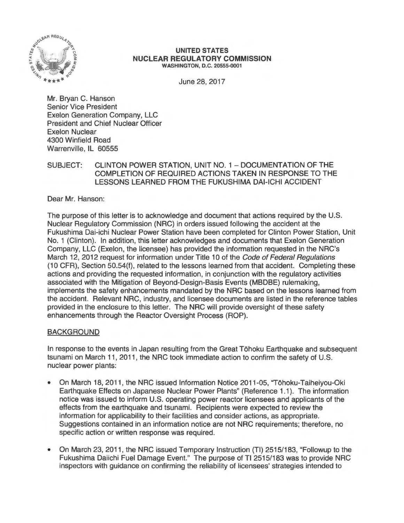

#### **UNITED STATES NUCLEAR REGULATORY COMMISSION**  WASHINGTON, D.C. 20555-0001

June 28, 2017

Mr. Bryan C. Hanson Senior Vice President Exelon Generation Company, LLC President and Chief Nuclear Officer Exelon Nuclear 4300 Winfield Road Warrenville, IL 60555

## SUBJECT: CLINTON POWER STATION, UNIT NO. 1 - DOCUMENTATION OF THE COMPLETION OF REQUIRED ACTIONS TAKEN IN RESPONSE TO THE LESSONS LEARNED FROM THE FUKUSHIMA DAl-ICHI ACCIDENT

Dear Mr. Hanson:

The purpose of this letter is to acknowledge and document that actions required by the U.S. Nuclear Regulatory Commission (NRC) in orders issued following the accident at the Fukushima Dai-ichi Nuclear Power Station have been completed for Clinton Power Station, Unit No. 1 (Clinton). In addition, this letter acknowledges and documents that Exelon Generation Company, LLC (Exelon, the licensee) has provided the information requested in the NRC's March 12, 2012 request for information under Title 10 of the Code of Federal Regulations (1 O CFR), Section 50.54(f), related to the lessons learned from that accident. Completing these actions and providing the requested information, in conjunction with the regulatory activities associated with the Mitigation of Beyond-Design-Basis Events (MBDBE) rulemaking, implements the safety enhancements mandated by the NRC based on the lessons learned from the accident. Relevant NRC, industry, and licensee documents are listed in the reference tables provided in the enclosure to this letter. The NRC will provide oversight of these safety enhancements through the Reactor Oversight Process (ROP).

# BACKGROUND

In response to the events in Japan resulting from the Great Tohoku Earthquake and subsequent tsunami on March 11 , 2011 , the NRC took immediate action to confirm the safety of U.S. nuclear power plants:

- On March 18, 2011 , the NRC issued Information Notice 2011-05, "Tohoku-Taiheiyou-Oki Earthquake Effects on Japanese Nuclear Power Plants" (Reference 1.1 ). The information notice was issued to inform U.S. operating power reactor licensees and applicants of the effects from the earthquake and tsunami. Recipients were expected to review the information for applicability to their facilities and consider actions, as appropriate. Suggestions contained in an information notice are not NRC requirements; therefore, no specific action or written response was required.
- On March 23, 2011, the NRC issued Temporary Instruction (Tl) 2515/183, "Followup to the Fukushima Daiichi Fuel Damage Event." The purpose of Tl 2515/183 was to provide NRC inspectors with guidance on confirming the reliability of licensees' strategies intended to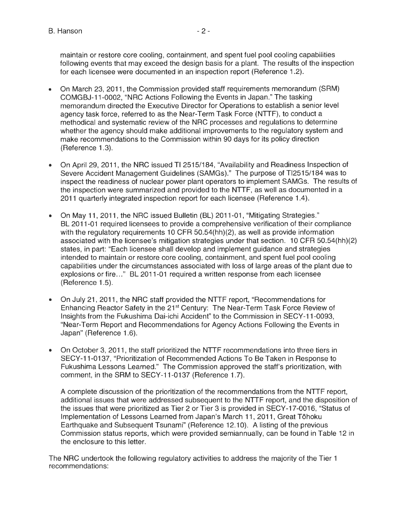maintain or restore core cooling, containment, and spent fuel pool cooling capabilities following events that may exceed the design basis for a plant. The results of the inspection for each licensee were documented in an inspection report (Reference 1.2).

- On March 23, 2011 , the Commission provided staff requirements memorandum (SRM) COMGBJ-11-0002, "NRC Actions Following the Events in Japan." The tasking memorandum directed the Executive Director for Operations to establish a senior level agency task force, referred to as the Near-Term Task Force (NTTF), to conduct a methodical and systematic review of the NRC processes and regulations to determine whether the agency should make additional improvements to the regulatory system and make recommendations to the Commission within 90 days for its policy direction (Reference 1.3).
- On April 29, 2011, the NRC issued TI 2515/184, "Availability and Readiness Inspection of Severe Accident Management Guidelines (SAMGs)." The purpose of Tl2515/184 was to inspect the readiness of nuclear power plant operators to implement SAMGs. The results of the inspection were summarized and provided to the NTTF, as well as documented in a 2011 quarterly integrated inspection report for each licensee (Reference 1.4).
- On May 11, 2011, the NRC issued Bulletin (BL) 2011-01, "Mitigating Strategies." BL 2011 -01 required licensees to provide a comprehensive verification of their compliance with the regulatory requirements 10 CFR 50.54(hh)(2), as well as provide information associated with the licensee's mitigation strategies under that section. 1 O CFR 50.54(hh)(2) states, in part: "Each licensee shall develop and implement guidance and strategies intended to maintain or restore core cooling, containment, and spent fuel pool cooling capabilities under the circumstances associated with loss of large areas of the plant due to explosions or fire..." BL 2011-01 required a written response from each licensee (Reference 1.5).
- On July 21 , 2011 , the NRC staff provided the NTTF report, "Recommendations for Enhancing Reactor Safety in the 21<sup>st</sup> Century: The Near-Term Task Force Review of Insights from the Fukushima Dai-ichi Accident" to the Commission in SECY-11-0093, "Near-Term Report and Recommendations for Agency Actions Following the Events in Japan" (Reference 1.6).
- On October 3, 2011 , the staff prioritized the NTTF recommendations into three tiers in SECY-11-0137, "Prioritization of Recommended Actions To Be Taken in Response to Fukushima Lessons Learned." The Commission approved the staff's prioritization, with comment, in the SRM to SECY-11-0137 (Reference 1.7).

A complete discussion of the prioritization of the recommendations from the NTTF report, additional issues that were addressed subsequent to the NTTF report, and the disposition of the issues that were prioritized as Tier 2 or Tier 3 is provided in SECY-17-0016, "Status of Implementation of Lessons Learned from Japan's March 11 , 2011 , Great Tohoku Earthquake and Subsequent Tsunami" (Reference 12.10). A listing of the previous Commission status reports, which were provided semiannually, can be found in Table 12 in the enclosure to this letter.

The NRC undertook the following regulatory activities to address the majority of the Tier 1 recommendations: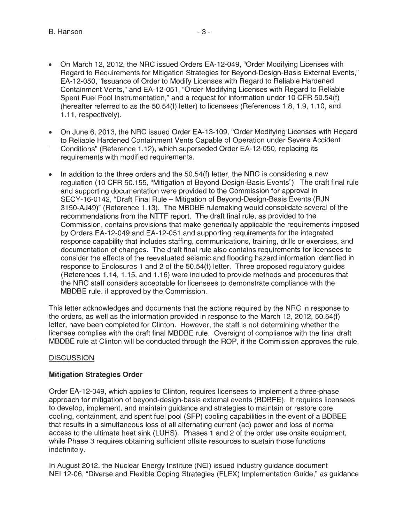- On March 12, 2012, the NRG issued Orders EA-12-049, "Order Modifying Licenses with Regard to Requirements for Mitigation Strategies for Beyond-Design-Basis External Events," EA-12-050, "Issuance of Order to Modify Licenses with Regard to Reliable Hardened Containment Vents," and EA-12-051 , "Order Modifying Licenses with Regard to Reliable Spent Fuel Pool Instrumentation," and a request for information under 10 CFR 50.54(f) (hereafter referred to as the 50.54(f) letter) to licensees (References 1.8, 1.9, 1.10, and 1.11 , respectively).
- On June 6, 2013, the NRG issued Order EA-13-109, "Order Modifying Licenses with Regard to Reliable Hardened Containment Vents Capable of Operation under Severe Accident Conditions" (Reference 1.12), which superseded Order EA-12-050, replacing its requirements with modified requirements.
- In addition to the three orders and the 50.54(f) letter, the NRG is considering a new regulation (10 CFR 50.155, "Mitigation of Beyond-Design-Basis Events"). The draft final rule and supporting documentation were provided to the Commission for approval in SECY-16-0142, "Draft Final Rule - Mitigation of Beyond-Design-Basis Events (RJN 3150-AJ49)" (Reference 1.13). The MBDBE rulemaking would consolidate several of the recommendations from the NTTF report. The draft final rule, as provided to the Commission, contains provisions that make generically applicable the requirements imposed by Orders EA-12-049 and EA-12-051 and supporting requirements for the integrated response capability that includes staffing, communications, training, drills or exercises, and documentation of changes. The draft final rule also contains requirements for licensees to consider the effects of the reevaluated seismic and flooding hazard information identified in response to Enclosures 1 and 2 of the 50.54(f) letter. Three proposed regulatory guides (References 1.14, 1.15, and 1.16) were included to provide methods and procedures that the NRG staff considers acceptable for licensees to demonstrate compliance with the MBDBE rule, if approved by the Commission.

This letter acknowledges and documents that the actions required by the NRG in response to the orders, as well as the information provided in response to the March 12, 2012, 50.54(f) letter, have been completed for Clinton. However, the staff is not determining whether the licensee complies with the draft final MBDBE rule. Oversight of compliance with the final draft MBDBE rule at Clinton will be conducted through the ROP, if the Commission approves the rule.

# **DISCUSSION**

# **Mitigation Strategies Order**

Order EA-12-049, which applies to Clinton, requires licensees to implement a three-phase approach for mitigation of beyond-design-basis external events (BDBEE). It requires licensees to develop, implement, and maintain guidance and strategies to maintain or restore core cooling, containment, and spent fuel pool (SFP) cooling capabilities in the event of a BDBEE that results in a simultaneous loss of all alternating current (ac) power and loss of normal access to the ultimate heat sink (LUHS). Phases 1 and 2 of the order use onsite equipment, while Phase 3 requires obtaining sufficient offsite resources to sustain those functions indefinitely.

In August 2012, the Nuclear Energy Institute (NEI) issued industry guidance document NEI 12-06, "Diverse and Flexible Coping Strategies (FLEX) Implementation Guide," as guidance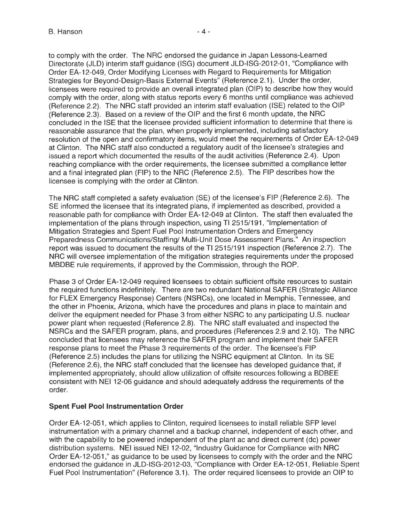to comply with the order. The NRC endorsed the guidance in Japan Lessons-Learned Directorate (JLD) interim staff guidance (ISG) document JLD-ISG-2012-01 , "Compliance with Order EA-12-049, Order Modifying Licenses with Regard to Requirements for Mitigation Strategies for Beyond-Design-Basis External Events" (Reference 2.1 ). Under the order, licensees were required to provide an overall integrated plan (OIP) to describe how they would comply with the order, along with status reports every 6 months until compliance was achieved (Reference 2.2). The NRC staff provided an interim staff evaluation (ISE) related to the OIP (Reference 2.3). Based on a review of the OIP and the first 6 month update, the NRC concluded in the ISE that the licensee provided sufficient information to determine that there is reasonable assurance that the plan, when properly implemented, including satisfactory resolution of the open and confirmatory items, would meet the requirements of Order EA-12-049 at Clinton. The NRC staff also conducted a regulatory audit of the licensee's strategies and issued a report which documented the results of the audit activities (Reference 2.4). Upon reaching compliance with the order requirements, the licensee submitted a compliance letter and a final integrated plan (FIP) to the NRC (Reference 2.5). The FIP describes how the licensee is complying with the order at Clinton.

The NRC staff completed a safety evaluation (SE) of the licensee's FIP (Reference 2.6). The SE informed the licensee that its integrated plans, if implemented as described, provided a reasonable path for compliance with Order EA-12-049 at Clinton. The staff then evaluated the implementation of the plans through inspection, using TI 2515/191, "Implementation of Mitigation Strategies and Spent Fuel Pool Instrumentation Orders and Emergency Preparedness Communications/Staffing/ Multi-Unit Dose Assessment Plans." An inspection report was issued to document the results of the Tl 2515/191 inspection (Reference 2.7). The NRC will oversee implementation of the mitigation strategies requirements under the proposed MBDBE rule requirements, if approved by the Commission, through the ROP.

Phase 3 of Order EA-12-049 required licensees to obtain sufficient offsite resources to sustain the required functions indefinitely. There are two redundant National SAFER (Strategic Alliance for FLEX Emergency Response) Centers (NSRCs), one located in Memphis, Tennessee, and the other in Phoenix, Arizona, which have the procedures and plans in place to maintain and deliver the equipment needed for Phase 3 from either NSRC to any participating U.S. nuclear power plant when requested (Reference 2.8). The NRC staff evaluated and inspected the NSRCs and the SAFER program, plans, and procedures (References 2.9 and 2.10). The NRC concluded that licensees may reference the SAFER program and implement their SAFER response plans to meet the Phase 3 requirements of the order. The licensee's FIP (Reference 2.5) includes the plans for utilizing the NSRC equipment at Clinton. In its SE (Reference 2.6), the NRC staff concluded that the licensee has developed guidance that, if implemented appropriately, should allow utilization of offsite resources following a BDBEE consistent with NEI 12-06 guidance and should adequately address the requirements of the order.

# **Spent Fuel Pool Instrumentation Order**

Order EA-12-051 , which applies to Clinton, required licensees to install reliable SFP level instrumentation with a primary channel and a backup channel, independent of each other, and with the capability to be powered independent of the plant ac and direct current (de) power distribution systems. NEI issued NEI 12-02, "Industry Guidance for Compliance with NRC Order EA-12-051 ,'' as guidance to be used by licensees to comply with the order and the NRC endorsed the guidance in JLD-ISG-2012-03, "Compliance with Order EA-12-051, Reliable Spent Fuel Pool Instrumentation" (Reference 3.1 ). The order required licensees to provide an OIP to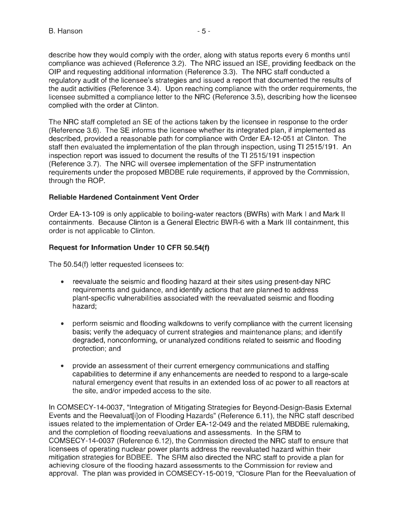describe how they would comply with the order, along with status reports every 6 months until compliance was achieved (Reference 3.2). The NRC issued an ISE, providing feedback on the OIP and requesting additional information (Reference 3.3). The NRC staff conducted a regulatory audit of the licensee's strategies and issued a report that documented the results of the audit activities (Reference 3.4). Upon reaching compliance with the order requirements, the licensee submitted a compliance letter to the NRC (Reference 3.5), describing how the licensee complied with the order at Clinton.

The NRC staff completed an SE of the actions taken by the licensee in response to the order (Reference 3.6). The SE informs the licensee whether its integrated plan, if implemented as described, provided a reasonable path for compliance with Order EA-12-051 at Clinton. The staff then evaluated the implementation of the plan through inspection, using Tl 2515/191. An inspection report was issued to document the results of the Tl 2515/191 inspection (Reference 3.7). The NRC will oversee implementation of the SFP instrumentation requirements under the proposed MBDBE rule requirements, if approved by the Commission, through the ROP.

#### **Reliable Hardened Containment Vent Order**

Order EA-13-109 is only applicable to boiling-water reactors (BWRs) with Mark I and Mark II containments. Because Clinton is a General Electric BWR-6 with a Mark Ill containment, this order is not applicable to Clinton.

### **Request for Information Under 10 CFR 50.54(f)**

The 50.54(f) letter requested licensees to:

- reevaluate the seismic and flooding hazard at their sites using present-day NRC requirements and guidance, and identify actions that are planned to address plant-specific vulnerabilities associated with the reevaluated seismic and flooding hazard;
- perform seismic and flooding walkdowns to verify compliance with the current licensing basis; verify the adequacy of current strategies and maintenance plans; and identify degraded, nonconforming, or unanalyzed conditions related to seismic and flooding protection; and
- provide an assessment of their current emergency communications and staffing capabilities to determine if any enhancements are needed to respond to a large-scale natural emergency event that results in an extended loss of ac power to all reactors at the site, and/or impeded access to the site.

In COMSECY-14-0037, "Integration of Mitigating Strategies for Beyond-Design-Basis External Events and the Reevaluat[i]on of Flooding Hazards" (Reference 6.11 ), the NRC staff described issues related to the implementation of Order EA-12-049 and the related MBDBE rulemaking, and the completion of flooding reevaluations and assessments. In the SRM to COMSECY-14-0037 (Reference 6.12), the Commission directed the NRC staff to ensure that licensees of operating nuclear power plants address the reevaluated hazard within their mitigation strategies for BDBEE. The SRM also directed the NRC staff to provide a plan for achieving closure of the flooding hazard assessments to the Commission for review and approval. The plan was provided in COMSECY-15-0019, "Closure Plan for the Reevaluation of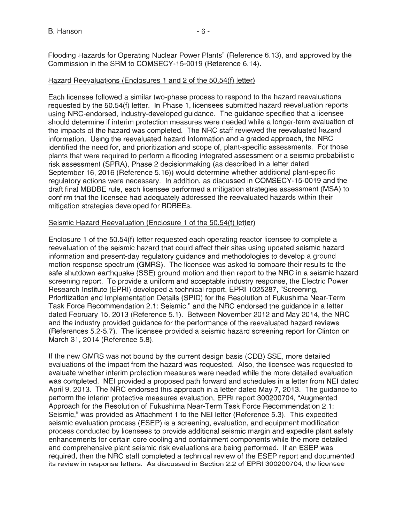Flooding Hazards for Operating Nuclear Power Plants" (Reference 6.13), and approved by the Commission in the SRM to COMSECY-15-0019 (Reference 6.14).

### Hazard Reevaluations (Enclosures 1 and 2 of the 50.54(f) letter)

Each licensee followed a similar two-phase process to respond to the hazard reevaluations requested by the 50.54(f) letter. In Phase 1, licensees submitted hazard reevaluation reports using NRG-endorsed, industry-developed guidance. The guidance specified that a licensee should determine if interim protection measures were needed while a longer-term evaluation of the impacts of the hazard was completed. The NRC staff reviewed the reevaluated hazard information. Using the reevaluated hazard information and a graded approach, the NRC identified the need for, and prioritization and scope of, plant-specific assessments. For those plants that were required to perform a flooding integrated assessment or a seismic probabilistic risk assessment (SPRA), Phase 2 decisionmaking (as described in a letter dated September 16, 2016 (Reference 5.16)) would determine whether additional plant-specific regulatory actions were necessary. In addition, as discussed in COMSECY-15-0019 and the draft final MBDBE rule, each licensee performed a mitigation strategies assessment (MSA) to confirm that the licensee had adequately addressed the reevaluated hazards within their mitigation strategies developed for BDBEEs.

### Seismic Hazard Reevaluation (Enclosure 1 of the 50.54(f) letter)

Enclosure 1 of the 50.54(f) letter requested each operating reactor licensee to complete a reevaluation of the seismic hazard that could affect their sites using updated seismic hazard information and present-day regulatory guidance and methodologies to develop a ground motion response spectrum (GMRS). The licensee was asked to compare their results to the safe shutdown earthquake (SSE) ground motion and then report to the NRC in a seismic hazard screening report. To provide a uniform and acceptable industry response, the Electric Power Research Institute (EPRI) developed a technical report, EPRI 1025287, "Screening, Prioritization and Implementation Details (SPID) for the Resolution of Fukushima Near-Term Task Force Recommendation 2.1: Seismic," and the NRC endorsed the guidance in a letter dated February 15, 2013 (Reference 5.1 ). Between November 2012 and May 2014, the NRC and the industry provided guidance for the performance of the reevaluated hazard reviews (References 5.2-5.7). The licensee provided a seismic hazard screening report for Clinton on March 31, 2014 (Reference 5.8).

If the new GMRS was not bound by the current design basis (COB) SSE, more detailed evaluations of the impact from the hazard was requested. Also, the licensee was requested to evaluate whether interim protection measures were needed while the more detailed evaluation was completed. NEI provided a proposed path forward and schedules in a letter from NEI dated April 9, 2013. The NRC endorsed this approach in a letter dated May 7, 2013. The guidance to perform the interim protective measures evaluation, EPRI report 300200704, "Augmented Approach for the Resolution of Fukushima Near-Term Task Force Recommendation 2.1: Seismic," was provided as Attachment 1 to the NEI letter (Reference 5.3). This expedited seismic evaluation process (ESEP) is a screening, evaluation, and equipment modification process conducted by licensees to provide additional seismic margin and expedite plant safety enhancements for certain core cooling and containment components while the more detailed and comprehensive plant seismic risk evaluations are being performed. If an ESEP was required, then the NRC staff completed a technical review of the ESEP report and documented its review in response letters. As discussed in Section 2.2 of EPRI 300200704, the licensee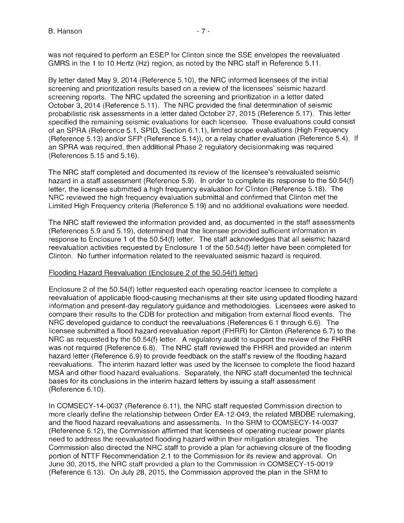was not required to perform an ESEP for Clinton since the SSE envelopes the reevaluated GMRS in the 1 to 10 Hertz (Hz) region, as noted by the NRC staff in Reference 5.11.

By letter dated May 9, 2014 (Reference 5.10), the NRG informed licensees of the initial screening and prioritization results based on a review of the licensees' seismic hazard screening reports. The NRG updated the screening and prioritization in a letter dated October 3, 2014 (Reference 5.11 ). The NRG provided the final determination of seismic probabilistic risk assessments in a letter dated October 27, 2015 (Reference 5.17). This letter specified the remaining seismic evaluations for each licensee. These evaluations could consist of an SPRA (Reference 5.1, SPID, Section 6.1.1 ), limited scope evaluations (High Frequency (Reference 5.13) and/or SFP (Reference 5.14)), or a relay chatter evaluation (Reference 5.4). If an SPRA was required, then additional Phase 2 regulatory decisionmaking was required (References 5.15 and 5.16).

The NRG staff completed and documented its review of the licensee's reevaluated seismic hazard in a staff assessment (Reference 5.9). In order to complete its response to the 50.54(f) letter, the licensee submitted a high frequency evaluation for Clinton (Reference 5.18). The NRG reviewed the high frequency evaluation submittal and confirmed that Clinton met the Limited High Frequency criteria (Reference 5.19) and no additional evaluations were needed.

The NRG staff reviewed the information provided and, as documented in the staff assessments (References 5.9 and 5.19), determined that the licensee provided sufficient information in response to Enclosure 1 of the 50.54(f) letter. The staff acknowledges that all seismic hazard reevaluation activities requested by Enclosure 1 of the 50.54(f) letter have been completed for Clinton. No further information related to the reevaluated seismic hazard is required.

#### Flooding Hazard Reevaluation (Enclosure 2 of the 50.54(f) letter)

Enclosure 2 of the 50.54(f) letter requested each operating reactor licensee to complete a reevaluation of applicable flood-causing mechanisms at their site using updated flooding hazard information and present-day regulatory guidance and methodologies. Licensees were asked to compare their results to the COB for protection and mitigation from external flood events. The NRG developed guidance to conduct the reevaluations (References 6.1 through 6.6). The licensee submitted a flood hazard reevaluation report (FHRR) for Clinton (Reference 6.7) to the NRG as requested by the 50.54(f) letter. A regulatory audit to support the review of the FHRR was not required (Reference 6.8). The NRG staff reviewed the FHRR and provided an interim hazard letter (Reference 6.9) to provide feedback on the staff's review of the flooding hazard reevaluations. The interim hazard letter was used by the licensee to complete the flood hazard MSA and other flood hazard evaluations. Separately, the NRG staff documented the technical bases for its conclusions in the interim hazard letters by issuing a staff assessment (Reference 6.10).

In COMSECY-14-0037 (Reference 6.11 ), the NRG staff requested Commission direction to more clearly define the relationship between Order EA-12-049, the related MBDBE rulemaking, and the flood hazard reevaluations and assessments. In the SRM to COMSECY-14-0037 (Reference 6.12), the Commission affirmed that licensees of operating nuclear power plants need to address the reevaluated flooding hazard within their mitigation strategies. The Commission also directed the NRG staff to provide a plan for achieving closure of the flooding portion of NTTF Recommendation 2.1 to the Commission for its review and approval. On June 30, 2015, the NRG staff provided a plan to the Commission in COMSECY-15-0019 (Reference 6.13). On July 28, 2015, the Commission approved the plan in the SRM to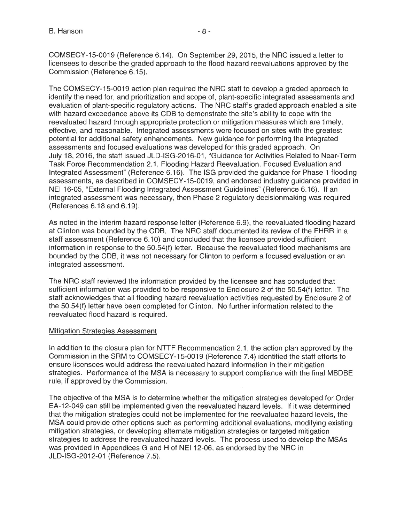COMSECY-15-0019 (Reference 6.14). On September 29, 2015, the NRC issued a letter to licensees to describe the graded approach to the flood hazard reevaluations approved by the Commission (Reference 6.15).

The COMSECY-15-0019 action plan required the NRC staff to develop a graded approach to identify the need for, and prioritization and scope of, plant-specific integrated assessments and evaluation of plant-specific regulatory actions. The NRC staff's graded approach enabled a site with hazard exceedance above its COB to demonstrate the site's ability to cope with the reevaluated hazard through appropriate protection or mitigation measures which are timely, effective, and reasonable. Integrated assessments were focused on sites with the greatest potential for additional safety enhancements. New guidance for performing the integrated assessments and focused evaluations was developed for this graded approach. On July 18, 2016, the staff issued JLO-ISG-2016-01, "Guidance for Activities Related to Near-Term Task Force Recommendation 2.1, Flooding Hazard Reevaluation, Focused Evaluation and Integrated Assessment" (Reference 6.16). The ISG provided the guidance for Phase 1 flooding assessments, as described in COMSECY-15-0019, and endorsed industry guidance provided in NEI 16-05, "External Flooding Integrated Assessment Guidelines" (Reference 6.16). If an integrated assessment was necessary, then Phase 2 regulatory decisionmaking was required (References 6.18 and 6.19).

As noted in the interim hazard response letter (Reference 6.9), the reevaluated flooding hazard at Clinton was bounded by the COB. The NRC staff documented its review of the FHRR in a staff assessment (Reference 6.10) and concluded that the licensee provided sufficient information in response to the 50.54(f) letter. Because the reevaluated flood mechanisms are bounded by the COB, it was not necessary for Clinton to perform a focused evaluation or an integrated assessment.

The NRC staff reviewed the information provided by the licensee and has concluded that sufficient information was provided to be responsive to Enclosure 2 of the 50.54(f) letter. The staff acknowledges that all flooding hazard reevaluation activities requested by Enclosure 2 of the 50.54(f) letter have been completed for Clinton. No further information related to the reevaluated flood hazard is required.

#### Mitigation Strategies Assessment

In addition to the closure plan for NTTF Recommendation 2.1, the action plan approved by the Commission in the SRM to COMSECY-15-0019 (Reference 7.4) identified the staff efforts to ensure licensees would address the reevaluated hazard information in their mitigation strategies. Performance of the MSA is necessary to support compliance with the final MBOBE rule, if approved by the Commission.

The objective of the MSA is to determine whether the mitigation strategies developed for Order EA-12-049 can still be implemented given the reevaluated hazard levels. If it was determined that the mitigation strategies could not be implemented for the reevaluated hazard levels, the MSA could provide other options such as performing additional evaluations, modifying existing mitigation strategies, or developing alternate mitigation strategies or targeted mitigation strategies to address the reevaluated hazard levels. The process used to develop the MSAs was provided in Appendices G and H of NEI 12-06, as endorsed by the NRC in JLO-ISG-2012-01 (Reference 7.5).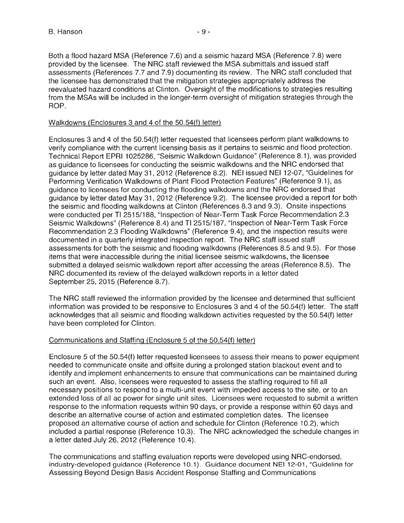Both a flood hazard MSA (Reference 7.6) and a seismic hazard MSA (Reference 7.8) were provided by the licensee. The NRC staff reviewed the MSA submittals and issued staff assessments (References 7.7 and 7.9) documenting its review. The NRC staff concluded that the licensee has demonstrated that the mitigation strategies appropriately address the reevaluated hazard conditions at Clinton. Oversight of the modifications to strategies resulting from the MSAs will be included in the longer-term oversight of mitigation strategies through the ROP.

#### Walkdowns (Enclosures 3 and 4 of the 50.54(f) letter)

Enclosures 3 and 4 of the 50.54(f) letter requested that licensees perform plant walkdowns to verify compliance with the current licensing basis as it pertains to seismic and flood protection. Technical Report EPRI 1025286, "Seismic Walkdown Guidance" (Reference 8.1 ), was provided as guidance to licensees for conducting the seismic walkdowns and the NRC endorsed that guidance by letter dated May 31 , 2012 (Reference 8.2). NEI issued NEI 12-07, "Guidelines for Performing Verification Walkdowns of Plant Flood Protection Features" (Reference 9.1 ), as guidance to licensees for conducting the flooding walkdowns and the NRC endorsed that guidance by letter dated May 31 , 2012 (Reference 9.2). The licensee provided a report for both the seismic and flooding walkdowns at Clinton (References 8.3 and 9.3). Onsite inspections were conducted per TI 2515/188, "Inspection of Near-Term Task Force Recommendation 2.3 Seismic Walkdowns" (Reference 8.4) and Tl 2515/187, "Inspection of Near-Term Task Force Recommendation 2.3 Flooding Walkdowns" (Reference 9.4), and the inspection results were documented in a quarterly integrated inspection report. The NRC staff issued staff assessments for both the seismic and flooding walkdowns (References 8.5 and 9.5). For those items that were inaccessible during the initial licensee seismic walkdowns, the licensee submitted a delayed seismic walkdown report after accessing the areas (Reference 8.5). The NRC documented its review of the delayed walkdown reports in a letter dated September 25, 2015 (Reference 8.7).

The NRC staff reviewed the information provided by the licensee and determined that sufficient information was provided to be responsive to Enclosures 3 and 4 of the 50.54(f) letter. The staff acknowledges that all seismic and flooding walkdown activities requested by the 50.54(f) letter have been completed for Clinton.

#### Communications and Staffing (Enclosure 5 of the 50.54(f) letter)

Enclosure 5 of the 50.54(f) letter requested licensees to assess their means to power equipment needed to communicate onsite and offsite during a prolonged station blackout event and to identify and implement enhancements to ensure that communications can be maintained during such an event. Also, licensees were requested to assess the staffing required to fill all necessary positions to respond to a multi-unit event with impeded access to the site, or to an extended loss of all ac power for single unit sites. Licensees were requested to submit a written response to the information requests within 90 days, or provide a response within 60 days and describe an alternative course of action and estimated completion dates. The licensee proposed an alternative course of action and schedule for Clinton (Reference 10.2), which included a partial response (Reference 10.3). The NRC acknowledged the schedule changes in a letter dated July 26, 2012 (Reference 10.4).

The communications and staffing evaluation reports were developed using NRG-endorsed, industry-developed guidance (Reference 10.1 ). Guidance document NEI 12-01 , "Guideline for Assessing Beyond Design Basis Accident Response Staffing and Communications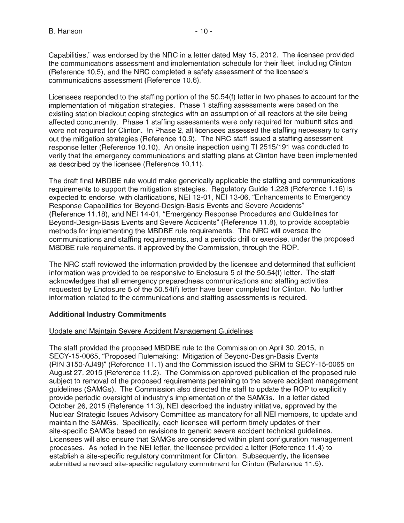Capabilities," was endorsed by the NRC in a letter dated May 15, 2012. The licensee provided the communications assessment and implementation schedule for their fleet, including Clinton (Reference 10.5), and the NRC completed a safety assessment of the licensee's communications assessment (Reference 10.6).

Licensees responded to the staffing portion of the 50.54(f) letter in two phases to account for the implementation of mitigation strategies. Phase 1 staffing assessments were based on the existing station blackout coping strategies with an assumption of all reactors at the site being affected concurrently. Phase 1 staffing assessments were only required for multiunit sites and were not required for Clinton. In Phase 2, all licensees assessed the staffing necessary to carry out the mitigation strategies (Reference 10.9). The NRC staff issued a staffing assessment response letter (Reference 10.10). An onsite inspection using Tl 2515/191 was conducted to verify that the emergency communications and staffing plans at Clinton have been implemented as described by the licensee (Reference 10.11 ).

The draft final MBDBE rule would make generically applicable the staffing and communications requirements to support the mitigation strategies. Regulatory Guide 1.228 (Reference 1.16) is expected to endorse, with clarifications, NEI 12-01 , NEI 13-06, "Enhancements to Emergency Response Capabilities for Beyond-Design-Basis Events and Severe Accidents" (Reference 11.18), and NEI 14-01 , "Emergency Response Procedures and Guidelines for Beyond-Design-Basis Events and Severe Accidents" (Reference 11 .8), to provide acceptable methods for implementing the MBDBE rule requirements. The NRC will oversee the communications and staffing requirements, and a periodic drill or exercise, under the proposed MBDBE rule requirements, if approved by the Commission, through the ROP.

The NRC staff reviewed the information provided by the licensee and determined that sufficient information was provided to be responsive to Enclosure 5 of the 50.54(f) letter. The staff acknowledges that all emergency preparedness communications and staffing activities requested by Enclosure 5 of the 50.54(f) letter have been completed for Clinton. No further information related to the communications and staffing assessments is required.

# **Additional Industry Commitments**

#### Update and Maintain Severe Accident Management Guidelines

The staff provided the proposed MBDBE rule to the Commission on April 30, 2015, in SECY-15-0065, "Proposed Rulemaking: Mitigation of Beyond-Design-Basis Events (RIN 3150-AJ49)" (Reference 11.1) and the Commission issued the SRM to SECY-15-0065 on August 27, 2015 (Reference 11.2). The Commission approved publication of the proposed rule subject to removal of the proposed requirements pertaining to the severe accident management guidelines (SAMGs). The Commission also directed the staff to update the ROP to explicitly provide periodic oversight of industry's implementation of the SAMGs. In a letter dated October 26, 2015 (Reference 11.3), NEI described the industry initiative, approved by the Nuclear Strategic Issues Advisory Committee as mandatory for all NEI members, to update and maintain the SAMGs. Specifically, each licensee will perform timely updates of their site-specific SAMGs based on revisions to generic severe accident technical guidelines. Licensees will also ensure that SAMGs are considered within plant configuration management processes. As noted in the NEI letter, the licensee provided a letter (Reference 11.4) to establish a site-specific regulatory commitment for Clinton. Subsequently, the licensee submitted a revised site-specific regulatory commitment for Clinton (Reference 11.5).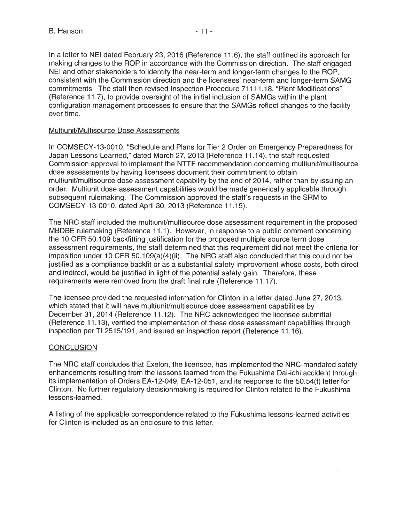In a letter to NEI dated February 23, 2016 (Reference 11.6), the staff outlined its approach for making changes to the ROP in accordance with the Commission direction. The staff engaged NEI and other stakeholders to identify the near-term and longer-term changes to the ROP, consistent with the Commission direction and the licensees' near-term and longer-term SAMG commitments. The staff then revised Inspection Procedure 71111 .18, "Plant Modifications" (Reference 11.7), to provide oversight of the initial inclusion of SAMGs within the plant configuration management processes to ensure that the SAMGs reflect changes to the facility over time.

## Multiunit/Multisource Dose Assessments

In COMSECY-13-0010, "Schedule and Plans for Tier 2 Order on Emergency Preparedness for Japan Lessons Learned," dated March 27, 2013 (Reference 11.14), the staff requested Commission approval to implement the NTTF recommendation concerning multiunit/multisource dose assessments by having licensees document their commitment to obtain multiunit/multisource dose assessment capability by the end of 2014, rather than by issuing an order. Multiunit dose assessment capabilities would be made generically applicable through subsequent rulemaking. The Commission approved the staff's requests in the SAM to COMSECY-13-0010, dated April 30, 2013 (Reference 11.15).

The NRC staff included the multiunit/multisource dose assessment requirement in the proposed MBDBE rulemaking (Reference 11.1). However, in response to a public comment concerning the 10 CFR 50.109 backfitting justification for the proposed multiple source term dose assessment requirements, the staff determined that this requirement did not meet the criteria for imposition under 10 CFR 50.109(a)(4)(ii). The NRC staff also concluded that this could not be justified as a compliance backfit or as a substantial safety improvement whose costs, both direct and indirect, would be justified in light of the potential safety gain. Therefore, these requirements were removed from the draft final rule (Reference 11.17).

The licensee provided the requested information for Clinton in a letter dated June 27, 2013, which stated that it will have multiunit/multisource dose assessment capabilities by December 31, 2014 (Reference 11.12). The NRC acknowledged the licensee submittal (Reference 11.13), verified the implementation of these dose assessment capabilities through inspection per Tl 2515/191, and issued an inspection report (Reference 11 .16).

# **CONCLUSION**

The NRC staff concludes that Exelon, the licensee, has implemented the NRG-mandated safety enhancements resulting from the lessons learned from the Fukushima Dai-ichi accident through its implementation of Orders EA-12-049, EA-12-051, and its response to the 50.54(f) letter for Clinton. No further regulatory decisionmaking is required for Clinton related to the Fukushima lessons-learned.

A listing of the applicable correspondence related to the Fukushima lessons-learned activities for Clinton is included as an enclosure to this letter.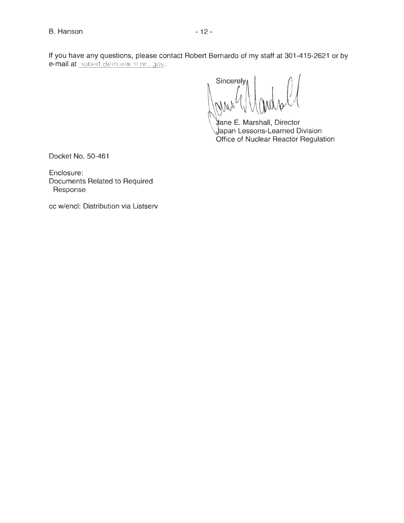If you have any questions, please contact Robert Bernardo of my staff at 301-415-2621 or by e-mail at nobert.Bernardo@nrc.gov.

Sincerely

ane E. Marshall, Director apan Lessons-Learned Division Office of Nuclear Reactor Regulation

Docket No. 50-461

Enclosure: Documents Related to Required Response

cc w/encl: Distribution via Listserv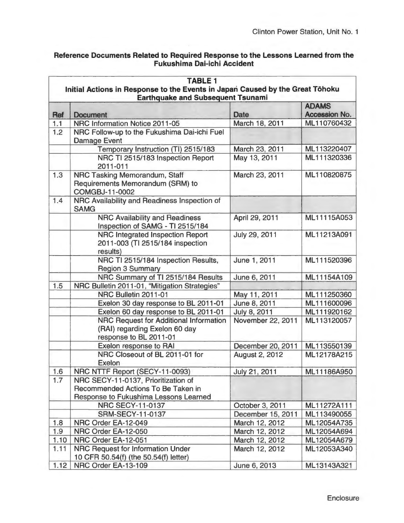# Reference Documents Related to Required Response to the Lessons Learned from the Fukushima Dai-ichi Accident

| <b>TABLE 1</b> |                                                                               |                              |                            |  |  |  |
|----------------|-------------------------------------------------------------------------------|------------------------------|----------------------------|--|--|--|
|                | Initial Actions in Response to the Events in Japan Caused by the Great Tōhoku |                              |                            |  |  |  |
|                | <b>Earthquake and Subsequent Tsunami</b><br><b>ADAMS</b>                      |                              |                            |  |  |  |
| Ref            | <b>Document</b>                                                               | <b>Date</b>                  | Accession No.              |  |  |  |
| 1.1            | NRC Information Notice 2011-05                                                | March 18, 2011               | ML110760432                |  |  |  |
| 1.2            | NRC Follow-up to the Fukushima Dai-ichi Fuel                                  |                              |                            |  |  |  |
|                | <b>Damage Event</b>                                                           |                              |                            |  |  |  |
|                | Temporary Instruction (TI) 2515/183                                           | March 23, 2011               | ML113220407                |  |  |  |
|                | NRC TI 2515/183 Inspection Report                                             | May 13, 2011                 | ML111320336                |  |  |  |
|                | 2011-011                                                                      |                              |                            |  |  |  |
| 1.3            | NRC Tasking Memorandum, Staff                                                 | March 23, 2011               | ML110820875                |  |  |  |
|                | Requirements Memorandum (SRM) to                                              |                              |                            |  |  |  |
|                | <b>COMGBJ-11-0002</b>                                                         |                              |                            |  |  |  |
| 1.4            | NRC Availability and Readiness Inspection of                                  |                              |                            |  |  |  |
|                | <b>SAMG</b>                                                                   |                              |                            |  |  |  |
|                | <b>NRC Availability and Readiness</b>                                         | April 29, 2011               | ML11115A053                |  |  |  |
|                | Inspection of SAMG - TI 2515/184                                              |                              |                            |  |  |  |
|                | NRC Integrated Inspection Report                                              | July 29, 2011                | ML11213A091                |  |  |  |
|                | 2011-003 (TI 2515/184 inspection                                              |                              |                            |  |  |  |
|                | results)                                                                      |                              |                            |  |  |  |
|                | NRC TI 2515/184 Inspection Results,                                           | June 1, 2011                 | ML111520396                |  |  |  |
|                | <b>Region 3 Summary</b>                                                       |                              |                            |  |  |  |
|                | NRC Summary of TI 2515/184 Results                                            | June 6, 2011                 | ML11154A109                |  |  |  |
| 1.5            | NRC Bulletin 2011-01, "Mitigation Strategies"<br>NRC Bulletin 2011-01         |                              |                            |  |  |  |
|                | Exelon 30 day response to BL 2011-01                                          | May 11, 2011<br>June 8, 2011 | ML111250360<br>ML111600096 |  |  |  |
|                | Exelon 60 day response to BL 2011-01                                          | July 8, 2011                 | ML111920162                |  |  |  |
|                | <b>NRC Request for Additional Information</b>                                 | November 22, 2011            | ML113120057                |  |  |  |
|                | (RAI) regarding Exelon 60 day                                                 |                              |                            |  |  |  |
|                | response to BL 2011-01                                                        |                              |                            |  |  |  |
|                | Exelon response to RAI                                                        | December 20, 2011            | ML113550139                |  |  |  |
|                | NRC Closeout of BL 2011-01 for                                                | <b>August 2, 2012</b>        | ML12178A215                |  |  |  |
|                | <b>Exelon</b>                                                                 |                              |                            |  |  |  |
| 1.6            | NRC NTTF Report (SECY-11-0093)                                                | July 21, 2011                | ML11186A950                |  |  |  |
| 1.7            | NRC SECY-11-0137, Prioritization of                                           |                              |                            |  |  |  |
|                | Recommended Actions To Be Taken in                                            |                              |                            |  |  |  |
|                | Response to Fukushima Lessons Learned                                         |                              |                            |  |  |  |
|                | <b>NRC SECY-11-0137</b>                                                       | October 3, 2011              | ML11272A111                |  |  |  |
|                | <b>SRM-SECY-11-0137</b>                                                       | December 15, 2011            | ML113490055                |  |  |  |
| 1.8            | NRC Order EA-12-049                                                           | March 12, 2012               | ML12054A735                |  |  |  |
| 1.9            | NRC Order EA-12-050                                                           | March 12, 2012               | ML12054A694                |  |  |  |
| 1.10           | NRC Order EA-12-051                                                           | March 12, 2012               | ML12054A679                |  |  |  |
| 1.11           | <b>NRC Request for Information Under</b>                                      | March 12, 2012               | ML12053A340                |  |  |  |
| 1.12           | 10 CFR 50.54(f) (the 50.54(f) letter)<br>NRC Order EA-13-109                  | June 6, 2013                 | ML13143A321                |  |  |  |
|                |                                                                               |                              |                            |  |  |  |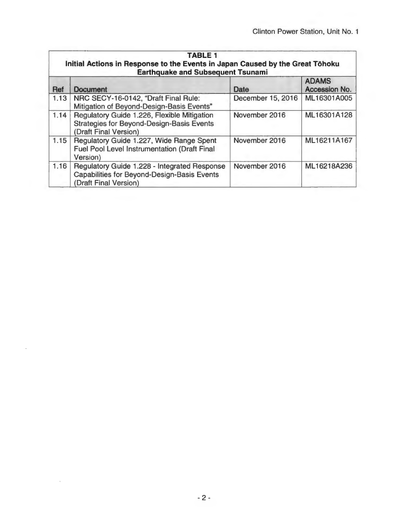|      | <b>TABLE 1</b><br>Initial Actions in Response to the Events in Japan Caused by the Great Tōhoku<br><b>Earthquake and Subsequent Tsunami</b> |                   |                               |  |
|------|---------------------------------------------------------------------------------------------------------------------------------------------|-------------------|-------------------------------|--|
| Ref  | <b>Document</b>                                                                                                                             | Date              | <b>ADAMS</b><br>Accession No. |  |
| 1.13 | NRC SECY-16-0142, "Draft Final Rule:<br>Mitigation of Beyond-Design-Basis Events"                                                           | December 15, 2016 | ML16301A005                   |  |
| 1.14 | Regulatory Guide 1.226, Flexible Mitigation<br><b>Strategies for Beyond-Design-Basis Events</b><br>(Draft Final Version)                    | November 2016     | ML16301A128                   |  |
| 1.15 | Regulatory Guide 1.227, Wide Range Spent<br>Fuel Pool Level Instrumentation (Draft Final<br>Version)                                        | November 2016     | ML16211A167                   |  |
| 1.16 | Regulatory Guide 1.228 - Integrated Response<br><b>Capabilities for Beyond-Design-Basis Events</b><br>(Draft Final Version)                 | November 2016     | ML16218A236                   |  |

l,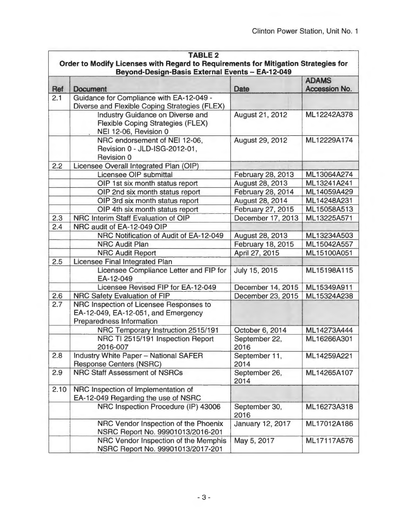|            | <b>TABLE 2</b><br>Order to Modify Licenses with Regard to Requirements for Mitigation Strategies for       |                        |               |  |  |  |
|------------|------------------------------------------------------------------------------------------------------------|------------------------|---------------|--|--|--|
|            | Beyond-Design-Basis External Events - EA-12-049<br><b>ADAMS</b>                                            |                        |               |  |  |  |
| <b>Ref</b> | <b>Document</b>                                                                                            | Date                   | Accession No. |  |  |  |
| 2.1        | Guidance for Compliance with EA-12-049 -                                                                   |                        |               |  |  |  |
|            | Diverse and Flexible Coping Strategies (FLEX)                                                              |                        |               |  |  |  |
|            | Industry Guidance on Diverse and<br><b>Flexible Coping Strategies (FLEX)</b><br>NEI 12-06, Revision 0      | August 21, 2012        | ML12242A378   |  |  |  |
|            | NRC endorsement of NEI 12-06,<br>Revision 0 - JLD-ISG-2012-01,<br><b>Revision 0</b>                        | August 29, 2012        | ML12229A174   |  |  |  |
| 2.2        | Licensee Overall Integrated Plan (OIP)                                                                     |                        |               |  |  |  |
|            | Licensee OIP submittal                                                                                     | February 28, 2013      | ML13064A274   |  |  |  |
|            | OIP 1st six month status report                                                                            | <b>August 28, 2013</b> | ML13241A241   |  |  |  |
|            | OIP 2nd six month status report                                                                            | February 28, 2014      | ML14059A429   |  |  |  |
|            | OIP 3rd six month status report                                                                            | August 28, 2014        | ML14248A231   |  |  |  |
|            | OIP 4th six month status report                                                                            | February 27, 2015      | ML15058A513   |  |  |  |
| 2.3        | NRC Interim Staff Evaluation of OIP                                                                        | December 17, 2013      | ML13225A571   |  |  |  |
| 2.4        | NRC audit of EA-12-049 OIP                                                                                 |                        |               |  |  |  |
|            | NRC Notification of Audit of EA-12-049                                                                     | August 28, 2013        | ML13234A503   |  |  |  |
|            | <b>NRC Audit Plan</b>                                                                                      | February 18, 2015      | ML15042A557   |  |  |  |
|            | <b>NRC Audit Report</b>                                                                                    | April 27, 2015         | ML15100A051   |  |  |  |
| 2.5        | <b>Licensee Final Integrated Plan</b>                                                                      |                        |               |  |  |  |
|            | Licensee Compliance Letter and FIP for<br>EA-12-049                                                        | July 15, 2015          | ML15198A115   |  |  |  |
|            | Licensee Revised FIP for EA-12-049                                                                         | December 14, 2015      | ML15349A911   |  |  |  |
| 2.6        | NRC Safety Evaluation of FIP                                                                               | December 23, 2015      | ML15324A238   |  |  |  |
| 2.7        | NRC Inspection of Licensee Responses to<br>EA-12-049, EA-12-051, and Emergency<br>Preparedness Information |                        |               |  |  |  |
|            | NRC Temporary Instruction 2515/191                                                                         | October 6, 2014        | ML14273A444   |  |  |  |
|            | NRC TI 2515/191 Inspection Report<br>2016-007                                                              | September 22,<br>2016  | ML16266A301   |  |  |  |
| 2.8        | <b>Industry White Paper - National SAFER</b><br><b>Response Centers (NSRC)</b>                             | September 11,<br>2014  | ML14259A221   |  |  |  |
| 2.9        | <b>NRC Staff Assessment of NSRCs</b>                                                                       | September 26,<br>2014  | ML14265A107   |  |  |  |
| 2.10       | NRC Inspection of Implementation of<br>EA-12-049 Regarding the use of NSRC                                 |                        |               |  |  |  |
|            | NRC Inspection Procedure (IP) 43006                                                                        | September 30,<br>2016  | ML16273A318   |  |  |  |
|            | NRC Vendor Inspection of the Phoenix<br>NSRC Report No. 99901013/2016-201                                  | January 12, 2017       | ML17012A186   |  |  |  |
|            | NRC Vendor Inspection of the Memphis<br>NSRC Report No. 99901013/2017-201                                  | May 5, 2017            | ML17117A576   |  |  |  |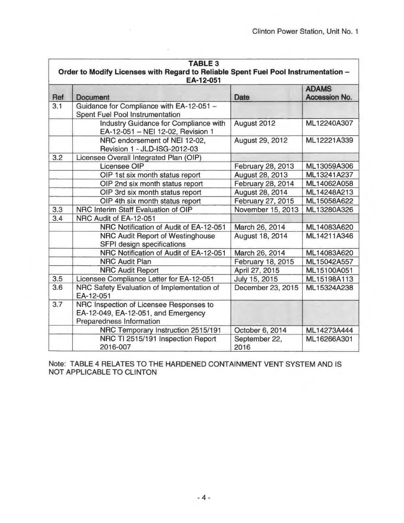| <b>TABLE 3</b><br>Order to Modify Licenses with Regard to Reliable Spent Fuel Pool Instrumentation -<br>EA-12-051 |                                                                                                            |                          |                               |
|-------------------------------------------------------------------------------------------------------------------|------------------------------------------------------------------------------------------------------------|--------------------------|-------------------------------|
| <b>Ref</b>                                                                                                        | <b>Document</b>                                                                                            | Date                     | <b>ADAMS</b><br>Accession No. |
| 3.1                                                                                                               | Guidance for Compliance with EA-12-051 -<br><b>Spent Fuel Pool Instrumentation</b>                         |                          |                               |
|                                                                                                                   | <b>Industry Guidance for Compliance with</b><br>EA-12-051 - NEI 12-02, Revision 1                          | August 2012              | ML12240A307                   |
|                                                                                                                   | NRC endorsement of NEI 12-02,<br>Revision 1 - JLD-ISG-2012-03                                              | <b>August 29, 2012</b>   | ML12221A339                   |
| 3.2                                                                                                               | Licensee Overall Integrated Plan (OIP)                                                                     |                          |                               |
|                                                                                                                   | <b>Licensee OIP</b>                                                                                        | February 28, 2013        | ML13059A306                   |
|                                                                                                                   | OIP 1st six month status report                                                                            | August 28, 2013          | ML13241A237                   |
|                                                                                                                   | OIP 2nd six month status report                                                                            | <b>February 28, 2014</b> | ML14062A058                   |
|                                                                                                                   | OIP 3rd six month status report                                                                            | <b>August 28, 2014</b>   | ML14248A213                   |
|                                                                                                                   | OIP 4th six month status report                                                                            | February 27, 2015        | ML15058A622                   |
| 3.3                                                                                                               | NRC Interim Staff Evaluation of OIP                                                                        | November 15, 2013        | ML13280A326                   |
| 3.4                                                                                                               | NRC Audit of EA-12-051                                                                                     |                          |                               |
|                                                                                                                   | NRC Notification of Audit of EA-12-051                                                                     | March 26, 2014           | ML14083A620                   |
|                                                                                                                   | NRC Audit Report of Westinghouse<br>SFPI design specifications                                             | <b>August 18, 2014</b>   | ML14211A346                   |
|                                                                                                                   | NRC Notification of Audit of EA-12-051                                                                     | March 26, 2014           | ML14083A620                   |
|                                                                                                                   | <b>NRC Audit Plan</b>                                                                                      | February 18, 2015        | ML15042A557                   |
|                                                                                                                   | <b>NRC Audit Report</b>                                                                                    | April 27, 2015           | ML15100A051                   |
| 3.5                                                                                                               | Licensee Compliance Letter for EA-12-051                                                                   | July 15, 2015            | ML15198A113                   |
| 3.6                                                                                                               | NRC Safety Evaluation of Implementation of<br>EA-12-051                                                    | December 23, 2015        | ML15324A238                   |
| 3.7                                                                                                               | NRC Inspection of Licensee Responses to<br>EA-12-049, EA-12-051, and Emergency<br>Preparedness Information |                          |                               |
|                                                                                                                   | NRC Temporary Instruction 2515/191                                                                         | October 6, 2014          | ML14273A444                   |
|                                                                                                                   | NRC TI 2515/191 Inspection Report<br>2016-007                                                              | September 22,<br>2016    | ML16266A301                   |

Note: TABLE 4 RELATES TO THE HARDENED CONTAINMENT VENT SYSTEM AND IS NOT APPLICABLE TO CLINTON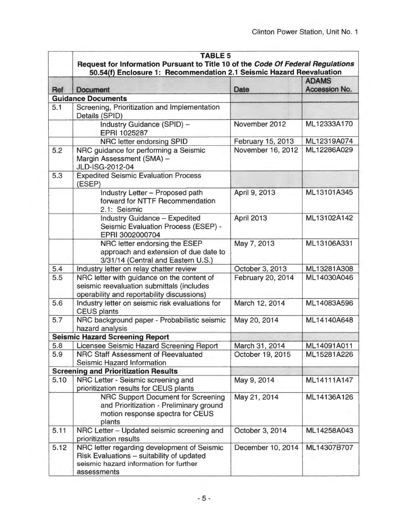|      | <b>TABLE 5</b><br>Request for Information Pursuant to Title 10 of the Code Of Federal Regulations<br>50.54(f) Enclosure 1: Recommendation 2.1 Seismic Hazard Reevaluation |                   |                               |
|------|---------------------------------------------------------------------------------------------------------------------------------------------------------------------------|-------------------|-------------------------------|
| Ref  | <b>Document</b>                                                                                                                                                           | Date              | <b>ADAMS</b><br>Accession No. |
|      | <b>Guidance Documents</b>                                                                                                                                                 |                   |                               |
| 5.1  | Screening, Prioritization and Implementation<br>Details (SPID)                                                                                                            |                   |                               |
|      | <b>Industry Guidance (SPID) -</b><br>EPRI 1025287                                                                                                                         | November 2012     | ML12333A170                   |
|      | NRC letter endorsing SPID                                                                                                                                                 | February 15, 2013 | ML12319A074                   |
| 5.2  | NRC guidance for performing a Seismic<br>Margin Assessment (SMA) -<br>JLD-ISG-2012-04                                                                                     | November 16, 2012 | ML12286A029                   |
| 5.3  | <b>Expedited Seismic Evaluation Process</b><br>(ESEP)                                                                                                                     |                   |                               |
|      | Industry Letter - Proposed path<br>forward for NTTF Recommendation<br>2.1: Seismic                                                                                        | April 9, 2013     | ML13101A345                   |
|      | <b>Industry Guidance - Expedited</b><br>Seismic Evaluation Process (ESEP) -<br>EPRI 3002000704                                                                            | April 2013        | ML13102A142                   |
|      | NRC letter endorsing the ESEP<br>approach and extension of due date to<br>3/31/14 (Central and Eastern U.S.)                                                              | May 7, 2013       | ML13106A331                   |
| 5.4  | Industry letter on relay chatter review                                                                                                                                   | October 3, 2013   | ML13281A308                   |
| 5.5  | NRC letter with guidance on the content of<br>seismic reevaluation submittals (includes<br>operability and reportability discussions)                                     | February 20, 2014 | ML14030A046                   |
| 5.6  | Industry letter on seismic risk evaluations for<br><b>CEUS plants</b>                                                                                                     | March 12, 2014    | ML14083A596                   |
| 5.7  | NRC background paper - Probabilistic seismic<br>hazard analysis                                                                                                           | May 20, 2014      | ML14140A648                   |
|      | <b>Seismic Hazard Screening Report</b>                                                                                                                                    |                   |                               |
| 5.8  | icensee Seismic Hazard Screening Report                                                                                                                                   | March 31, 2014    | ML14091A011                   |
| 5.9  | NRC Staff Assessment of Reevaluated<br><b>Seismic Hazard Information</b>                                                                                                  | October 19, 2015  | ML15281A226                   |
|      | <b>Screening and Prioritization Results</b>                                                                                                                               |                   |                               |
| 5.10 | NRC Letter - Seismic screening and<br>prioritization results for CEUS plants                                                                                              | May 9, 2014       | ML14111A147                   |
|      | <b>NRC Support Document for Screening</b><br>and Prioritization - Preliminary ground<br>motion response spectra for CEUS<br>plants                                        | May 21, 2014      | ML14136A126                   |
| 5.11 | NRC Letter - Updated seismic screening and<br>prioritization results                                                                                                      | October 3, 2014   | ML14258A043                   |
| 5.12 | NRC letter regarding development of Seismic<br>Risk Evaluations - suitability of updated<br>seismic hazard information for further<br>assessments                         | December 10, 2014 | ML14307B707                   |

 $\overline{\phantom{a}}$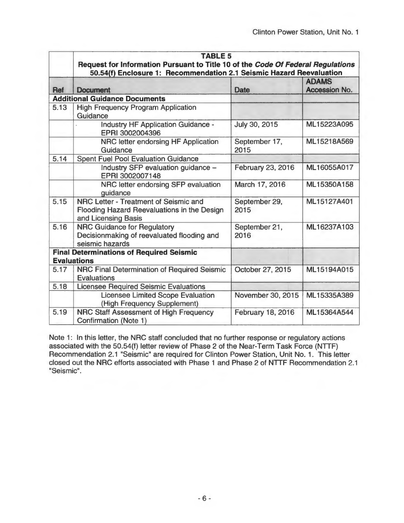|      | <b>TABLE 5</b>                                                                                              |                       |                               |
|------|-------------------------------------------------------------------------------------------------------------|-----------------------|-------------------------------|
|      | Request for Information Pursuant to Title 10 of the Code Of Federal Regulations                             |                       |                               |
| Ref  | 50.54(f) Enclosure 1: Recommendation 2.1 Seismic Hazard Reevaluation<br><b>Document</b>                     | Date                  | <b>ADAMS</b><br>Accession No. |
|      | <b>Additional Guidance Documents</b>                                                                        |                       |                               |
| 5.13 | <b>High Frequency Program Application</b><br>Guidance                                                       |                       |                               |
|      | <b>Industry HF Application Guidance -</b><br>EPRI 3002004396                                                | July 30, 2015         | ML15223A095                   |
|      | NRC letter endorsing HF Application<br>Guidance                                                             | September 17,<br>2015 | ML15218A569                   |
| 5.14 | <b>Spent Fuel Pool Evaluation Guidance</b>                                                                  |                       |                               |
|      | Industry SFP evaluation guidance -<br>EPRI 3002007148                                                       | February 23, 2016     | ML16055A017                   |
|      | NRC letter endorsing SFP evaluation<br>guidance                                                             | March 17, 2016        | ML15350A158                   |
| 5.15 | NRC Letter - Treatment of Seismic and<br>Flooding Hazard Reevaluations in the Design<br>and Licensing Basis | September 29,<br>2015 | ML15127A401                   |
| 5.16 | <b>NRC Guidance for Regulatory</b><br>Decisionmaking of reevaluated flooding and<br>seismic hazards         | September 21,<br>2016 | ML16237A103                   |
|      | <b>Final Determinations of Required Seismic</b>                                                             |                       |                               |
|      | <b>Evaluations</b>                                                                                          |                       |                               |
| 5.17 | NRC Final Determination of Required Seismic<br><b>Evaluations</b>                                           | October 27, 2015      | ML15194A015                   |
| 5.18 | <b>Licensee Required Seismic Evaluations</b>                                                                |                       |                               |
|      | <b>Licensee Limited Scope Evaluation</b><br>(High Frequency Supplement)                                     | November 30, 2015     | ML15335A389                   |
| 5.19 | NRC Staff Assessment of High Frequency<br>Confirmation (Note 1)                                             | February 18, 2016     | ML15364A544                   |

Note 1: In this letter, the NRC staff concluded that no further response or regulatory actions associated with the 50.54(f) letter review of Phase 2 of the Near-Term Task Force (NTTF) Recommendation 2.1 "Seismic" are required for Clinton Power Station, Unit No. 1. This letter closed out the NRC efforts associated with Phase 1 and Phase 2 of NTTF Recommendation 2.1 "Seismic".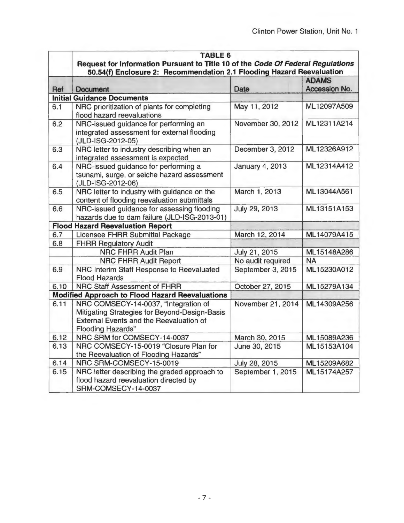|            | <b>TABLE 6</b>                                                                  |                        |                               |
|------------|---------------------------------------------------------------------------------|------------------------|-------------------------------|
|            | Request for Information Pursuant to Title 10 of the Code Of Federal Regulations |                        |                               |
|            | 50.54(f) Enclosure 2: Recommendation 2.1 Flooding Hazard Reevaluation           |                        |                               |
|            |                                                                                 | Date                   | <b>ADAMS</b><br>Accession No. |
| <b>Ref</b> | <b>Document</b><br><b>Initial Guidance Documents</b>                            |                        |                               |
| 6.1        | NRC prioritization of plants for completing                                     | May 11, 2012           | ML12097A509                   |
|            | flood hazard reevaluations                                                      |                        |                               |
| 6.2        | NRC-issued guidance for performing an                                           | November 30, 2012      | ML12311A214                   |
|            | integrated assessment for external flooding                                     |                        |                               |
|            | (JLD-ISG-2012-05)                                                               |                        |                               |
| 6.3        | NRC letter to industry describing when an                                       | December 3, 2012       | ML12326A912                   |
|            | integrated assessment is expected                                               |                        |                               |
| 6.4        | NRC-issued guidance for performing a                                            | <b>January 4, 2013</b> | ML12314A412                   |
|            | tsunami, surge, or seiche hazard assessment                                     |                        |                               |
|            | (JLD-ISG-2012-06)                                                               |                        |                               |
| 6.5        | NRC letter to industry with guidance on the                                     | March 1, 2013          | ML13044A561                   |
|            | content of flooding reevaluation submittals                                     |                        |                               |
| 6.6        | NRC-issued guidance for assessing flooding                                      | July 29, 2013          | ML13151A153                   |
|            | hazards due to dam failure (JLD-ISG-2013-01)                                    |                        |                               |
|            | <b>Flood Hazard Reevaluation Report</b>                                         |                        |                               |
| 6.7        | Licensee FHRR Submittal Package                                                 | March 12, 2014         | ML14079A415                   |
| 6.8        | <b>FHRR Regulatory Audit</b>                                                    |                        |                               |
|            | <b>NRC FHRR Audit Plan</b>                                                      | July 21, 2015          | ML15148A286                   |
|            | NRC FHRR Audit Report                                                           | No audit required      | <b>NA</b>                     |
| 6.9        | NRC Interim Staff Response to Reevaluated                                       | September 3, 2015      | ML15230A012                   |
|            | <b>Flood Hazards</b>                                                            |                        |                               |
| 6.10       | NRC Staff Assessment of FHRR                                                    | October 27, 2015       | ML15279A134                   |
|            | <b>Modified Approach to Flood Hazard Reevaluations</b>                          |                        |                               |
| 6.11       | NRC COMSECY-14-0037, "Integration of                                            | November 21, 2014      | ML14309A256                   |
|            | Mitigating Strategies for Beyond-Design-Basis                                   |                        |                               |
|            | <b>External Events and the Reevaluation of</b>                                  |                        |                               |
|            | <b>Flooding Hazards"</b>                                                        |                        |                               |
| 6.12       | NRC SRM for COMSECY-14-0037                                                     | March 30, 2015         | ML15089A236                   |
| 6.13       | NRC COMSECY-15-0019 "Closure Plan for                                           | June 30, 2015          | ML15153A104                   |
|            | the Reevaluation of Flooding Hazards"                                           |                        |                               |
| 6.14       | NRC SRM-COMSECY-15-0019                                                         | July 28, 2015          | ML15209A682                   |
| 6.15       | NRC letter describing the graded approach to                                    | September 1, 2015      | ML15174A257                   |
|            | flood hazard reevaluation directed by                                           |                        |                               |
|            | SRM-COMSECY-14-0037                                                             |                        |                               |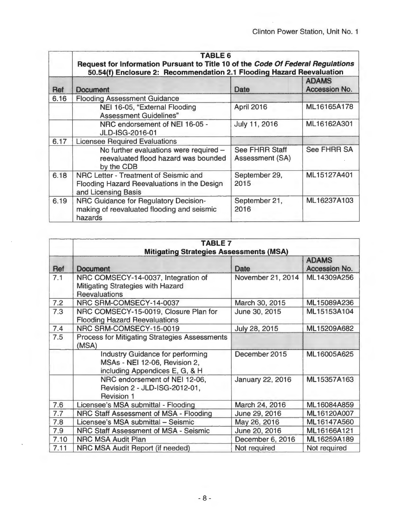|      | TABLE 6<br>Request for Information Pursuant to Title 10 of the Code Of Federal Regulations<br>50.54(f) Enclosure 2: Recommendation 2.1 Flooding Hazard Reevaluation |                                                 |                               |
|------|---------------------------------------------------------------------------------------------------------------------------------------------------------------------|-------------------------------------------------|-------------------------------|
| Ref  | Document                                                                                                                                                            | Date                                            | <b>ADAMS</b><br>Accession No. |
| 6.16 | <b>Flooding Assessment Guidance</b>                                                                                                                                 |                                                 |                               |
|      | NEI 16-05, "External Flooding<br><b>Assessment Guidelines"</b>                                                                                                      | April 2016                                      | ML16165A178                   |
|      | NRC endorsement of NEI 16-05 -<br>JLD-ISG-2016-01                                                                                                                   | July 11, 2016                                   | ML16162A301                   |
| 6.17 | <b>Licensee Required Evaluations</b>                                                                                                                                |                                                 |                               |
|      | No further evaluations were required -<br>reevaluated flood hazard was bounded<br>by the CDB                                                                        | <b>See FHRR Staff</b><br><b>Assessment (SA)</b> | <b>See FHRR SA</b>            |
| 6.18 | NRC Letter - Treatment of Seismic and<br>Flooding Hazard Reevaluations in the Design<br>and Licensing Basis                                                         | September 29,<br>2015                           | ML15127A401                   |
| 6.19 | NRC Guidance for Regulatory Decision-<br>making of reevaluated flooding and seismic<br>hazards                                                                      | September 21,<br>2016                           | ML16237A103                   |

|      | <b>TABLE 7</b>                                                                                             |                   |                               |
|------|------------------------------------------------------------------------------------------------------------|-------------------|-------------------------------|
|      | <b>Mitigating Strategies Assessments (MSA)</b>                                                             |                   |                               |
| Ref  | <b>Document</b>                                                                                            | Date              | <b>ADAMS</b><br>Accession No. |
| 7.1  | NRC COMSECY-14-0037, Integration of<br>Mitigating Strategies with Hazard<br><b>Reevaluations</b>           | November 21, 2014 | ML14309A256                   |
| 7.2  | NRC SRM-COMSECY-14-0037                                                                                    | March 30, 2015    | ML15089A236                   |
| 7.3  | NRC COMSECY-15-0019, Closure Plan for<br><b>Flooding Hazard Reevaluations</b>                              | June 30, 2015     | ML15153A104                   |
| 7.4  | NRC SRM-COMSECY-15-0019                                                                                    | July 28, 2015     | ML15209A682                   |
| 7.5  | <b>Process for Mitigating Strategies Assessments</b><br>(MSA)                                              |                   |                               |
|      | <b>Industry Guidance for performing</b><br>MSAs - NEI 12-06, Revision 2,<br>including Appendices E, G, & H | December 2015     | ML16005A625                   |
|      | NRC endorsement of NEI 12-06,<br>Revision 2 - JLD-ISG-2012-01,<br><b>Revision 1</b>                        | January 22, 2016  | ML15357A163                   |
| 7.6  | Licensee's MSA submittal - Flooding                                                                        | March 24, 2016    | ML16084A859                   |
| 7.7  | NRC Staff Assessment of MSA - Flooding                                                                     | June 29, 2016     | ML16120A007                   |
| 7.8  | Licensee's MSA submittal - Seismic                                                                         | May 26, 2016      | ML16147A560                   |
| 7.9  | NRC Staff Assessment of MSA - Seismic                                                                      | June 20, 2016     | ML16166A121                   |
| 7.10 | <b>NRC MSA Audit Plan</b>                                                                                  | December 6, 2016  | ML16259A189                   |
| 7.11 | NRC MSA Audit Report (if needed)                                                                           | Not required      | Not required                  |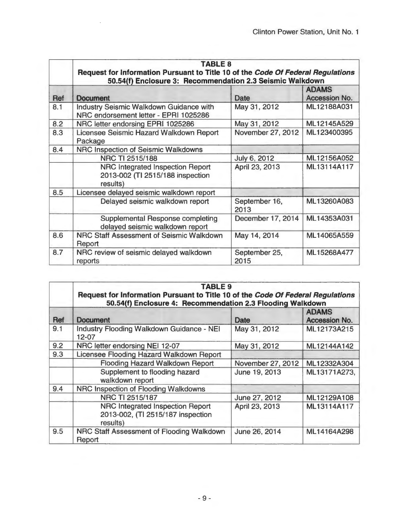|     | <b>TABLE 8</b><br>Request for Information Pursuant to Title 10 of the Code Of Federal Regulations<br>50.54(f) Enclosure 3: Recommendation 2.3 Seismic Walkdown |                       |                                      |
|-----|----------------------------------------------------------------------------------------------------------------------------------------------------------------|-----------------------|--------------------------------------|
| Ref | <b>Document</b>                                                                                                                                                | <b>Date</b>           | <b>ADAMS</b><br><b>Accession No.</b> |
| 8.1 | <b>Industry Seismic Walkdown Guidance with</b><br>NRC endorsement letter - EPRI 1025286                                                                        | May 31, 2012          | ML12188A031                          |
| 8.2 | NRC letter endorsing EPRI 1025286                                                                                                                              | May 31, 2012          | ML12145A529                          |
| 8.3 | Licensee Seismic Hazard Walkdown Report<br>Package                                                                                                             | November 27, 2012     | ML123400395                          |
| 8.4 | NRC Inspection of Seismic Walkdowns                                                                                                                            |                       |                                      |
|     | NRC TI 2515/188                                                                                                                                                | July 6, 2012          | ML12156A052                          |
|     | NRC Integrated Inspection Report<br>2013-002 (TI 2515/188 inspection<br>results)                                                                               | April 23, 2013        | ML13114A117                          |
| 8.5 | Licensee delayed seismic walkdown report                                                                                                                       |                       |                                      |
|     | Delayed seismic walkdown report                                                                                                                                | September 16,<br>2013 | ML13260A083                          |
|     | <b>Supplemental Response completing</b><br>delayed seismic walkdown report                                                                                     | December 17, 2014     | ML14353A031                          |
| 8.6 | NRC Staff Assessment of Seismic Walkdown<br>Report                                                                                                             | May 14, 2014          | ML14065A559                          |
| 8.7 | NRC review of seismic delayed walkdown<br>reports                                                                                                              | September 25,<br>2015 | ML15268A477                          |

|     | <b>TABLE 9</b><br>Request for Information Pursuant to Title 10 of the Code Of Federal Regulations<br>50.54(f) Enclosure 4: Recommendation 2.3 Flooding Walkdown |                   |                               |
|-----|-----------------------------------------------------------------------------------------------------------------------------------------------------------------|-------------------|-------------------------------|
| Ref | <b>Document</b>                                                                                                                                                 | Date              | <b>ADAMS</b><br>Accession No. |
| 9.1 | <b>Industry Flooding Walkdown Guidance - NEI</b><br>$12 - 07$                                                                                                   | May 31, 2012      | ML12173A215                   |
| 9.2 | NRC letter endorsing NEI 12-07                                                                                                                                  | May 31, 2012      | ML12144A142                   |
| 9.3 | Licensee Flooding Hazard Walkdown Report                                                                                                                        |                   |                               |
|     | <b>Flooding Hazard Walkdown Report</b>                                                                                                                          | November 27, 2012 | ML12332A304                   |
|     | Supplement to flooding hazard<br>walkdown report                                                                                                                | June 19, 2013     | ML13171A273,                  |
| 9.4 | NRC Inspection of Flooding Walkdowns                                                                                                                            |                   |                               |
|     | NRC TI 2515/187                                                                                                                                                 | June 27, 2012     | ML12129A108                   |
|     | <b>NRC Integrated Inspection Report</b><br>2013-002, (TI 2515/187 inspection<br>results)                                                                        | April 23, 2013    | ML13114A117                   |
| 9.5 | NRC Staff Assessment of Flooding Walkdown<br>Report                                                                                                             | June 26, 2014     | ML14164A298                   |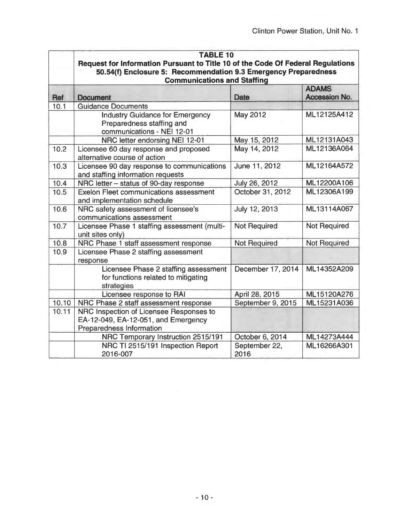|            | <b>TABLE 10</b>                                                                                                                                    |                       |                               |
|------------|----------------------------------------------------------------------------------------------------------------------------------------------------|-----------------------|-------------------------------|
|            | Request for Information Pursuant to Title 10 of the Code Of Federal Regulations<br>50.54(f) Enclosure 5: Recommendation 9.3 Emergency Preparedness |                       |                               |
|            | <b>Communications and Staffing</b>                                                                                                                 |                       |                               |
| <b>Ref</b> | Document                                                                                                                                           | Date                  | <b>ADAMS</b><br>Accession No. |
| 10.1       | <b>Guidance Documents</b>                                                                                                                          |                       |                               |
|            | <b>Industry Guidance for Emergency</b><br>Preparedness staffing and<br>communications - NEI 12-01                                                  | May 2012              | ML12125A412                   |
|            | NRC letter endorsing NEI 12-01                                                                                                                     | May 15, 2012          | ML12131A043                   |
| 10.2       | Licensee 60 day response and proposed<br>alternative course of action                                                                              | May 14, 2012          | ML12136A064                   |
| 10.3       | Licensee 90 day response to communications<br>and staffing information requests                                                                    | June 11, 2012         | ML12164A572                   |
| 10.4       | NRC letter - status of 90-day response                                                                                                             | July 26, 2012         | ML12200A106                   |
| 10.5       | <b>Exelon Fleet communications assessment</b><br>and implementation schedule                                                                       | October 31, 2012      | ML12306A199                   |
| 10.6       | NRC safety assessment of licensee's<br>communications assessment                                                                                   | July 12, 2013         | ML13114A067                   |
| 10.7       | Licensee Phase 1 staffing assessment (multi-<br>unit sites only)                                                                                   | <b>Not Required</b>   | <b>Not Required</b>           |
| 10.8       | NRC Phase 1 staff assessment response                                                                                                              | <b>Not Required</b>   | Not Required                  |
| 10.9       | Licensee Phase 2 staffing assessment<br>response                                                                                                   |                       |                               |
|            | Licensee Phase 2 staffing assessment<br>for functions related to mitigating<br>strategies                                                          | December 17, 2014     | ML14352A209                   |
|            | Licensee response to RAI                                                                                                                           | April 28, 2015        | ML15120A276                   |
| 10.10      | NRC Phase 2 staff assessment response                                                                                                              | September 9, 2015     | ML15231A036                   |
| 10.11      | NRC Inspection of Licensee Responses to<br>EA-12-049, EA-12-051, and Emergency<br>Preparedness Information                                         |                       |                               |
|            | NRC Temporary Instruction 2515/191                                                                                                                 | October 6, 2014       | ML14273A444                   |
|            | NRC TI 2515/191 Inspection Report<br>2016-007                                                                                                      | September 22,<br>2016 | ML16266A301                   |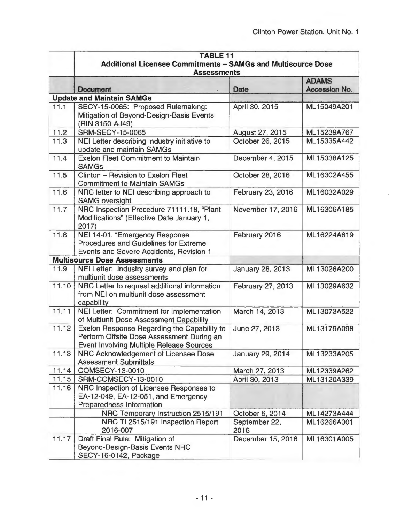|        | <b>TABLE 11</b>                                                                       |                                 |               |  |  |
|--------|---------------------------------------------------------------------------------------|---------------------------------|---------------|--|--|
|        | Additional Licensee Commitments - SAMGs and Multisource Dose                          |                                 |               |  |  |
|        | <b>Assessments</b>                                                                    |                                 |               |  |  |
|        |                                                                                       |                                 | <b>ADAMS</b>  |  |  |
|        | Document<br><b>Update and Maintain SAMGs</b>                                          | Date                            | Accession No. |  |  |
| 11.1   | SECY-15-0065: Proposed Rulemaking:                                                    | April 30, 2015                  | ML15049A201   |  |  |
|        | Mitigation of Beyond-Design-Basis Events                                              |                                 |               |  |  |
|        | (RIN 3150-AJ49)                                                                       |                                 |               |  |  |
| 11.2   | <b>SRM-SECY-15-0065</b><br>August 27, 2015                                            |                                 | ML15239A767   |  |  |
| 11.3   | NEI Letter describing industry initiative to                                          | October 26, 2015                | ML15335A442   |  |  |
|        | update and maintain SAMGs                                                             |                                 |               |  |  |
| 11.4   | <b>Exelon Fleet Commitment to Maintain</b>                                            | December 4, 2015<br>ML15338A125 |               |  |  |
|        | <b>SAMGs</b>                                                                          |                                 |               |  |  |
| $11.5$ | Clinton - Revision to Exelon Fleet                                                    | October 28, 2016                | ML16302A455   |  |  |
|        | <b>Commitment to Maintain SAMGs</b>                                                   |                                 |               |  |  |
| 11.6   | NRC letter to NEI describing approach to                                              | February 23, 2016               | ML16032A029   |  |  |
|        | <b>SAMG oversight</b>                                                                 |                                 |               |  |  |
| 11.7   | NRC Inspection Procedure 71111.18, "Plant                                             | November 17, 2016               | ML16306A185   |  |  |
|        | Modifications" (Effective Date January 1,                                             |                                 |               |  |  |
|        | 2017                                                                                  |                                 |               |  |  |
| 11.8   | NEI 14-01, "Emergency Response                                                        | February 2016                   | ML16224A619   |  |  |
|        | <b>Procedures and Guidelines for Extreme</b>                                          |                                 |               |  |  |
|        | Events and Severe Accidents, Revision 1                                               |                                 |               |  |  |
|        | <b>Multisource Dose Assessments</b>                                                   |                                 |               |  |  |
| 11.9   | NEI Letter: Industry survey and plan for                                              | January 28, 2013                | ML13028A200   |  |  |
| 11.10  | multiunit dose assessments                                                            |                                 | ML13029A632   |  |  |
|        | NRC Letter to request additional information<br>from NEI on multiunit dose assessment | February 27, 2013               |               |  |  |
|        | capability                                                                            |                                 |               |  |  |
| 11.11  | NEI Letter: Commitment for Implementation                                             | March 14, 2013                  | ML13073A522   |  |  |
|        | of Multiunit Dose Assessment Capability                                               |                                 |               |  |  |
| 11.12  | Exelon Response Regarding the Capability to                                           | June 27, 2013                   | ML13179A098   |  |  |
|        | Perform Offsite Dose Assessment During an                                             |                                 |               |  |  |
|        | <b>Event Involving Multiple Release Sources</b>                                       |                                 |               |  |  |
| 11.13  | NRC Acknowledgement of Licensee Dose                                                  | January 29, 2014                | ML13233A205   |  |  |
|        | <b>Assessment Submittals</b>                                                          |                                 |               |  |  |
| 11.14  | <b>COMSECY-13-0010</b>                                                                | March 27, 2013                  | ML12339A262   |  |  |
| 11.15  | SRM-COMSECY-13-0010                                                                   | April 30, 2013                  | ML13120A339   |  |  |
| 11.16  | NRC Inspection of Licensee Responses to                                               |                                 |               |  |  |
|        | EA-12-049, EA-12-051, and Emergency                                                   |                                 |               |  |  |
|        | <b>Preparedness Information</b>                                                       |                                 |               |  |  |
|        | NRC Temporary Instruction 2515/191                                                    | October 6, 2014                 | ML14273A444   |  |  |
|        | NRC TI 2515/191 Inspection Report                                                     | September 22,                   | ML16266A301   |  |  |
|        | 2016-007                                                                              | 2016                            |               |  |  |
| 11.17  | Draft Final Rule: Mitigation of                                                       | December 15, 2016               | ML16301A005   |  |  |
|        | Beyond-Design-Basis Events NRC                                                        |                                 |               |  |  |
|        | SECY-16-0142, Package                                                                 |                                 |               |  |  |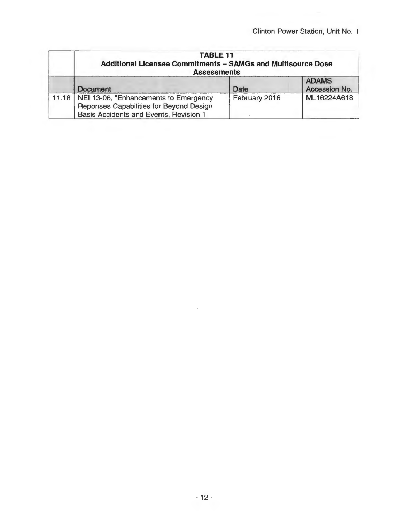| <b>TABLE 11</b><br><b>Additional Licensee Commitments - SAMGs and Multisource Dose</b><br><b>Assessments</b>                       |               |                               |
|------------------------------------------------------------------------------------------------------------------------------------|---------------|-------------------------------|
| Document                                                                                                                           | Date          | <b>ADAMS</b><br>Accession No. |
| 11.18   NEI 13-06, "Enhancements to Emergency<br>Reponses Capabilities for Beyond Design<br>Basis Accidents and Events, Revision 1 | February 2016 | ML16224A618                   |

 $\mathbf{r}$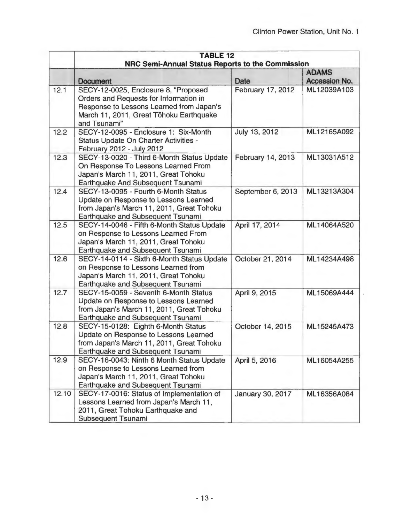|       | <b>TABLE 12</b>                                                                                                                                                                       |                   |               |  |
|-------|---------------------------------------------------------------------------------------------------------------------------------------------------------------------------------------|-------------------|---------------|--|
|       | NRC Semi-Annual Status Reports to the Commission<br><b>ADAMS</b>                                                                                                                      |                   |               |  |
|       | Document                                                                                                                                                                              | Date              | Accession No. |  |
| 12.1  | SECY-12-0025, Enclosure 8, "Proposed<br>Orders and Requests for Information in<br>Response to Lessons Learned from Japan's<br>March 11, 2011, Great Tōhoku Earthquake<br>and Tsunami" | February 17, 2012 | ML12039A103   |  |
| 12.2  | SECY-12-0095 - Enclosure 1: Six-Month<br><b>Status Update On Charter Activities -</b><br>February 2012 - July 2012                                                                    | July 13, 2012     | ML12165A092   |  |
| 12.3  | SECY-13-0020 - Third 6-Month Status Update<br>On Response To Lessons Learned From<br>Japan's March 11, 2011, Great Tohoku<br>Earthquake And Subsequent Tsunami                        | February 14, 2013 | ML13031A512   |  |
| 12.4  | SECY-13-0095 - Fourth 6-Month Status<br>Update on Response to Lessons Learned<br>from Japan's March 11, 2011, Great Tohoku<br>Earthquake and Subsequent Tsunami                       | September 6, 2013 | ML13213A304   |  |
| 12.5  | SECY-14-0046 - Fifth 6-Month Status Update<br>on Response to Lessons Learned From<br>Japan's March 11, 2011, Great Tohoku<br>Earthquake and Subsequent Tsunami                        | April 17, 2014    | ML14064A520   |  |
| 12.6  | SECY-14-0114 - Sixth 6-Month Status Update<br>on Response to Lessons Learned from<br>Japan's March 11, 2011, Great Tohoku<br>Earthquake and Subsequent Tsunami                        | October 21, 2014  | ML14234A498   |  |
| 12.7  | SECY-15-0059 - Seventh 6-Month Status<br>Update on Response to Lessons Learned<br>from Japan's March 11, 2011, Great Tohoku<br>Earthquake and Subsequent Tsunami                      | April 9, 2015     | ML15069A444   |  |
| 12.8  | SECY-15-0128: Eighth 6-Month Status<br>Update on Response to Lessons Learned<br>from Japan's March 11, 2011, Great Tohoku<br>Earthquake and Subsequent Tsunami                        | October 14, 2015  | ML15245A473   |  |
| 12.9  | SECY-16-0043: Ninth 6 Month Status Update<br>on Response to Lessons Learned from<br>Japan's March 11, 2011, Great Tohoku<br>Earthquake and Subsequent Tsunami                         | April 5, 2016     | ML16054A255   |  |
| 12.10 | SECY-17-0016: Status of Implementation of<br>Lessons Learned from Japan's March 11,<br>2011, Great Tohoku Earthquake and<br><b>Subsequent Tsunami</b>                                 | January 30, 2017  | ML16356A084   |  |